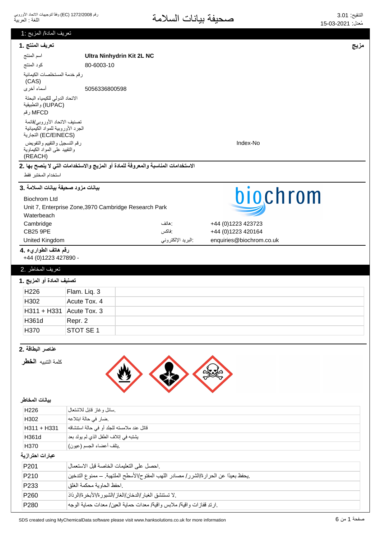| تعريف المادة/ المزيج :1                                        |                                                                                      |                   |                          |      |
|----------------------------------------------------------------|--------------------------------------------------------------------------------------|-------------------|--------------------------|------|
| تعريف المنتج .1                                                |                                                                                      |                   |                          | مزيج |
| اسم المنتج                                                     | Ultra Ninhydrin Kit 2L NC                                                            |                   |                          |      |
| كود المنتج                                                     | 80-6003-10                                                                           |                   |                          |      |
| رقم خدمة المستخلصات الكيمائية                                  |                                                                                      |                   |                          |      |
| (CAS)                                                          |                                                                                      |                   |                          |      |
| أسماء أخرى                                                     | 5056336800598                                                                        |                   |                          |      |
| الاتحاد الدولى للكيمياء البحتة<br>(IUPAC) والتطبيقية           |                                                                                      |                   |                          |      |
| MFCD رقم                                                       |                                                                                      |                   |                          |      |
| تصنيف الاتحاد الأوروبي/قائمة                                   |                                                                                      |                   |                          |      |
| الجرد الأوروبية للمواد الكيميائية                              |                                                                                      |                   |                          |      |
| (EC/EINECS) التجارية                                           |                                                                                      |                   |                          |      |
| رقم التسجيل والتقييم والتفويض<br>والنقييد على المواد الكيماوية |                                                                                      |                   | Index-No                 |      |
| (REACH)                                                        |                                                                                      |                   |                          |      |
|                                                                | الاستخدامات المناسبة والمعروفة للمادة أو المزيج والاستخدامات التي لا ينصح بها .2     |                   |                          |      |
| استخدام المختبر فقط                                            |                                                                                      |                   |                          |      |
| بيانات مزود صحيفة بيانات السلامة .3                            |                                                                                      |                   |                          |      |
| <b>Biochrom Ltd</b>                                            |                                                                                      |                   | biochrom                 |      |
|                                                                | Unit 7, Enterprise Zone, 3970 Cambridge Research Park                                |                   |                          |      |
| Waterbeach                                                     |                                                                                      |                   |                          |      |
| Cambridge                                                      |                                                                                      | : هاتف            | +44 (0)1223 423723       |      |
| <b>CB25 9PE</b>                                                |                                                                                      | :فاكس             | +44 (0)1223 420164       |      |
| United Kingdom                                                 |                                                                                      | البريد الإلكتروني | enquiries@biochrom.co.uk |      |
| رقم هاتف الطواريء .4                                           |                                                                                      |                   |                          |      |
| +44 (0)1223 427890 -                                           |                                                                                      |                   |                          |      |
| تعريف المخاطر .2                                               |                                                                                      |                   |                          |      |
| تصنيف المادة أو المزيج .1                                      |                                                                                      |                   |                          |      |
| H226                                                           | Flam. Liq. 3                                                                         |                   |                          |      |
| H <sub>302</sub>                                               | Acute Tox. 4                                                                         |                   |                          |      |
|                                                                | H311 + H331   Acute Tox. 3                                                           |                   |                          |      |
| H361d                                                          | Repr. 2                                                                              |                   |                          |      |
| H370                                                           | STOT SE 1                                                                            |                   |                          |      |
|                                                                |                                                                                      |                   |                          |      |
| عناصر البطاقة .2                                               |                                                                                      |                   |                          |      |
| كلمة التنبيه <b>الخط</b> ل                                     |                                                                                      |                   |                          |      |
|                                                                |                                                                                      |                   |                          |      |
|                                                                |                                                                                      |                   |                          |      |
|                                                                |                                                                                      |                   |                          |      |
| بيانات المخاطر                                                 |                                                                                      |                   |                          |      |
| H <sub>226</sub>                                               | سائل وغاز قابل للاشتعال                                                              |                   |                          |      |
| H302                                                           | ضار في حالة ابتلاعه                                                                  |                   |                          |      |
| H311 + H331                                                    | قاتل عند ملامسته للجلد أو في حالة استنشاقه                                           |                   |                          |      |
| H361d                                                          | يشتبه في إتلاف الطفل الذي لم يولد بعد                                                |                   |                          |      |
| H370                                                           | يتلف أعضاء الجسم (عيون)                                                              |                   |                          |      |
| عبارات احترازية                                                |                                                                                      |                   |                          |      |
| P201                                                           | احصل على التعليمات الخاصة قبل الاستعمال                                              |                   |                          |      |
|                                                                |                                                                                      |                   |                          |      |
| P210                                                           | .يحفظ بعيدًا عن الحرارة/الشرر/ مصادر اللهب المفتوح/الأسطح الملتهبة. ــ ممنوع التدخين |                   |                          |      |
| P233                                                           | احفظ الحاوية محكمة الغلق                                                             |                   |                          |      |
| P260                                                           | . لا تستنشق الغبار /الدخان/الغاز /الشبور ة/الأبخر ة/الر ذاذ                          |                   |                          |      |
| P280                                                           | .ارتدِ قفازات واقية/ ملابس واقية/ معدات حماية العين/ معدات حماية الوجه               |                   |                          |      |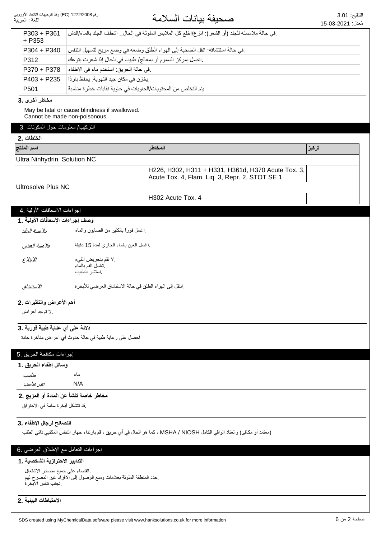# التنقيع: 3.01<br>مُجارِد 2021 03 45 مركز السلامة

|                                        |                                                                                                                           |                                                                                                      | معدن. ∟∠u∠-دu-כו |  |
|----------------------------------------|---------------------------------------------------------------------------------------------------------------------------|------------------------------------------------------------------------------------------------------|------------------|--|
| P303 + P361<br>$+ P353$                | . في حالة ملامسته للجلد (أو الشعر): انز ع/اخلع كل الملابس الملوثة في الحال اشطف الجلد بالماء/الدش                         |                                                                                                      |                  |  |
| P304 + P340                            | في حالة استنشاقه: انقل الضحية إلى الهواء الطلق وضعه في وضع مريح لتسهيل التنفس                                             |                                                                                                      |                  |  |
| P312                                   | .اتصل بمركز السموم أو بمعالج/ طبيب في الحال إذا شعرت بتوعك                                                                |                                                                                                      |                  |  |
| P370 + P378                            | في حالة الحريق: استخدم ماء في الإطفاء                                                                                     |                                                                                                      |                  |  |
| P403 + P235                            | يخزن في مكان جيد التهوية. يحفظ باردًا                                                                                     |                                                                                                      |                  |  |
| P501                                   | يتم التخلص من المحتويات/الحاويات في حاوية نفايات خطرة مناسبة                                                              |                                                                                                      |                  |  |
| مخاطر أخرى .3                          |                                                                                                                           |                                                                                                      |                  |  |
|                                        | May be fatal or cause blindness if swallowed.                                                                             |                                                                                                      |                  |  |
| Cannot be made non-poisonous.          |                                                                                                                           |                                                                                                      |                  |  |
| التركيب/ معلومات حول المكونات .3       |                                                                                                                           |                                                                                                      |                  |  |
| الخلطات .2                             |                                                                                                                           |                                                                                                      |                  |  |
| اسم المنتج                             | المخاطر                                                                                                                   |                                                                                                      | تركيز            |  |
| Ultra Ninhydrin Solution NC            |                                                                                                                           |                                                                                                      |                  |  |
|                                        |                                                                                                                           | H226, H302, H311 + H331, H361d, H370 Acute Tox. 3,<br>Acute Tox. 4, Flam. Liq. 3, Repr. 2, STOT SE 1 |                  |  |
| <b>Ultrosolve Plus NC</b>              |                                                                                                                           |                                                                                                      |                  |  |
|                                        | H302 Acute Tox. 4                                                                                                         |                                                                                                      |                  |  |
| إجراءات الإسعافات الأولية .4           |                                                                                                                           |                                                                                                      |                  |  |
| وصف إجراءات الإسعافات الأولية . 1      |                                                                                                                           |                                                                                                      |                  |  |
| ملامسة الجلد                           | اغسل فورأ بالكثير من الصابون والماء                                                                                       |                                                                                                      |                  |  |
|                                        |                                                                                                                           |                                                                                                      |                  |  |
| ملامسة العينين                         | .اغسل العين بالماء الجاري لمدة 15 دقيقة                                                                                   |                                                                                                      |                  |  |
| الابتلاع                               | .لا تقم بتحريض القيء<br>نغسل الفم بالماء<br>استشر الطبيب                                                                  |                                                                                                      |                  |  |
| الاستنشاق                              | .انتقل إلى الهواء الطلق في حالة الاستنشاق العرضي للأبخرة                                                                  |                                                                                                      |                  |  |
| أهم الأعراض والتأثيرات .2              |                                                                                                                           |                                                                                                      |                  |  |
| .لا توجد أعراض                         |                                                                                                                           |                                                                                                      |                  |  |
| دلالة على أي عناية طبية فورية .3       |                                                                                                                           |                                                                                                      |                  |  |
|                                        | احصل على ر عاية طبية في حالة حدوث أي أعراض متأخرة حادة                                                                    |                                                                                                      |                  |  |
|                                        |                                                                                                                           |                                                                                                      |                  |  |
| إجراءات مكافحة الحريق .5               |                                                                                                                           |                                                                                                      |                  |  |
| وسائل إطفاء الحريق .1                  |                                                                                                                           |                                                                                                      |                  |  |
| مناسب                                  | ماء                                                                                                                       |                                                                                                      |                  |  |
| غیر مناسب                              | N/A                                                                                                                       |                                                                                                      |                  |  |
| مخاطر خاصة تنشأ عن المادة أو المزيج .2 |                                                                                                                           |                                                                                                      |                  |  |
| .قد تتشكل أبخرة سامة في الاحتراق       |                                                                                                                           |                                                                                                      |                  |  |
|                                        |                                                                                                                           |                                                                                                      |                  |  |
| النصائح لرجال الإطفاء .3               |                                                                                                                           |                                                                                                      |                  |  |
|                                        | (معتمد أو مكافئ) والعتاد الواقي الكامل MSHA / NIOSH ، كما هو الحال في أي حريق ، قم بارتداء جهاز التنفس المكتبي ذاتي الطلب |                                                                                                      |                  |  |
| إجراءات النعامل مع الإطلاق العرضي .6   |                                                                                                                           |                                                                                                      |                  |  |
| التدابير الاحترازية الشخصية . 1        |                                                                                                                           |                                                                                                      |                  |  |
| القضاء على جميع مصادر الاشتعال         |                                                                                                                           |                                                                                                      |                  |  |
| تجنب تنفس الأبخر ة                     | حدد المنطقة الملوثة بعلامات ومنع الوصول إلىي الأفراد غير المصرح لهم                                                       |                                                                                                      |                  |  |
|                                        |                                                                                                                           |                                                                                                      |                  |  |

#### الاحتياطات البينية .2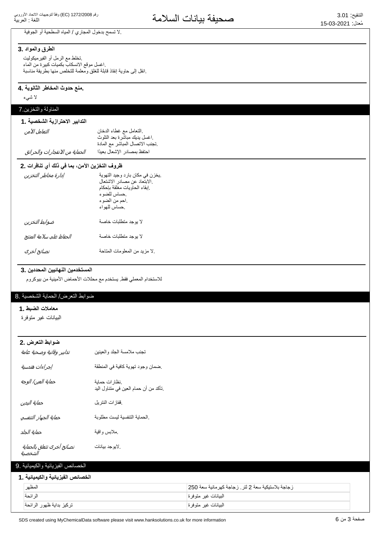| .لا تسمح بدخول المجاري / المياه السطحية أو الجوفية                                                            |                                                                    |  |
|---------------------------------------------------------------------------------------------------------------|--------------------------------------------------------------------|--|
| الطرق والمواد .3                                                                                              |                                                                    |  |
| نخلط مع الرمل أو الفيرميكوليت                                                                                 |                                                                    |  |
| اغسل موقع الانسكاب بكميات كبيرة من الماء<br>انقل إلى حاوية إنقاذ قابلة للغلق ومعلمة للتخلص منها بطريقة مناسبة |                                                                    |  |
|                                                                                                               |                                                                    |  |
| منع حدوث المخاطر الثانوية .4                                                                                  |                                                                    |  |
| لا شىيء                                                                                                       |                                                                    |  |
| المناولة والتخزين 7                                                                                           |                                                                    |  |
| التدابير الاحترازية الشخصية . 1                                                                               |                                                                    |  |
| التعامل الآمن                                                                                                 | النعامل مع غطاء الدخان                                             |  |
|                                                                                                               | اغسل يديك مباشرة بعد التلوث<br>نجنب الاتصال المباشر مع المادة      |  |
| الحماية من الانفجارات والحرائق                                                                                | احتفظ بمصادر الإشعال بعيدًا                                        |  |
| ظروف التخزين الآمن، بما في ذلك أي تنافرات .2                                                                  |                                                                    |  |
| إدارة مخاطر التخزين                                                                                           | يخزن في مكان بارد وجيد التهوية                                     |  |
|                                                                                                               | .الابتعاد عن مصادر الاشتعال<br>إبقاء الحاويات مغلقة بإحكام         |  |
|                                                                                                               | حساس للضوء                                                         |  |
|                                                                                                               | احم من الضوء                                                       |  |
|                                                                                                               | حساس للهواء                                                        |  |
| ضوابط التخزين                                                                                                 | لا يوجد متطلبات خاصة                                               |  |
| الحفاظ على سلامة المنتج                                                                                       | لا يوجد متطلبات خاصة                                               |  |
| نصائح أخرى                                                                                                    | لا مزيد من المعلومات المتاحة                                       |  |
| المستخدمين النهائيين المحددين .3                                                                              | للاستخدام المعملي فقط يستخدم مع محللات الأحماض الأمينية من بيوكروم |  |
| ضوابط التعرض/ الحماية الشخصية .8                                                                              |                                                                    |  |
| معاملات الضبط .1                                                                                              |                                                                    |  |
| البيانات غير متوفرة                                                                                           |                                                                    |  |
|                                                                                                               |                                                                    |  |
| ضوابط التعرض .2                                                                                               |                                                                    |  |
| تدابير وقائية وصحية عامة                                                                                      | تجنب ملامسة الجلد والعينين                                         |  |
| إجراءات هندسية                                                                                                | ضمان وجود تهوية كافية في المنطقة                                   |  |
| حماية العين/ الوجه                                                                                            | نظار ات حماية<br>تأكد من أن حمام العين في متناول اليد              |  |
| حماية اليدين                                                                                                  | ففازات النتريل                                                     |  |
| حماية الجهاز التنفسي                                                                                          | الحماية التنفسية ليست مطلوبة                                       |  |
| حماية الجلد                                                                                                   | ملابس واقية                                                        |  |
| نصائح أخرى نتعلق بالحماية                                                                                     | لايوجد بيانات                                                      |  |

# الشخصية

# الخصائص الفيزيائية والكيميائية 9.

| الخصائص الفيزيائية والكيميائية . 1 |                                                    |
|------------------------------------|----------------------------------------------------|
| المظهر                             | زجاجة بلاستيكية سعة 2 لتر . زجاجة كهرمانية سعة 250 |
| الر ائحة                           | البيانات غير متوفرة                                |
| تركيز بداية ظهور الرائحة           | البيانات غير متوفرة                                |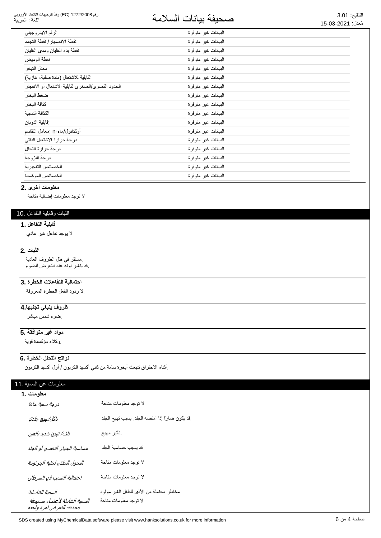#### رقم 1272/2008 (EC) وفقاً لتوجيهات الاتحاد الأوروبي اللغة : العربية

# التنقيع: 3.01<br>مُزار: 2021 03 15 مجموعة المسلامة

| الرقم الايدر وجيني                                | البيانات غير متوفرة |
|---------------------------------------------------|---------------------|
| نقطة الانصهار / نقطة التجمد                       | البيانات غير متوفرة |
| نقطة بدء الغليان ومدى الغليان                     | البيانات غير متوفرة |
| نقطة الوميض                                       | البيانات غير متوفرة |
| معدل التبخر                                       | البيانات غير متوفرة |
| القابلية للاشتعال (مادة صلبة، غازية)              | البيانات غير متوفرة |
| الحدود القصوى/الصغرى لقابلية الاشتعال أو الانفجار | البيانات غير متوفرة |
| ضغط البخار                                        | البيانات غير متوفرة |
| كثافة البخار                                      | البيانات غير متوفرة |
| الكثافة النسببة                                   | البيانات غير متوفرة |
| فابلية الذوبان                                    | البيانات غير متوفرة |
| أوكتانول/ماء-n :معامل التقاسم                     | البيانات غير متوفرة |
| درجة حرارة الاشتعال الذاتي                        | البيانات غير متوفرة |
| درجة حرارة التحلل                                 | البيانات غير متوفرة |
| در جة اللز وجة                                    | البيانات غير متوفرة |
| الخصائص التفجيرية                                 | البيانات غير متوفرة |
| الخصائص المؤكسدة                                  | البيانات غير متوفرة |

## **معلومات أخرى .2**

لا توجد معلومات إضافية متاحة

#### الثبات وقابلية التفاعل .10

#### قابلية التفاعل . **1**

لا بوجد نفاعل غير عادي

### **2.** الثبات

مستقر في ظل الظروف العادية. فد يتغير لونه عند التعرض للضوء.

#### احتمالية التفاعلات الخطرة. 3

لا ردود الفعل الخطرة المعروفة.

#### <del>ظروف ينبغي تجنبها 4</del>

ضوء شمس مباشر

#### <mark>5. مواد غير متوافقة</mark>

وكلاء مؤكسدة قوية

#### نواتج التحلل الخطرة .6

ِأثناء الاحتراق تنبعث أبخرة سامة من ثاني أكسيد الكربون / أول أكسيد الكربون.

#### معلومات عن السمية .11

| معلومات .1                                                                    |                                                                  |
|-------------------------------------------------------------------------------|------------------------------------------------------------------|
| درجة سمية حادة                                                                | لا توجد معلومات متاحة                                            |
| تآكل/تهيج جلدي                                                                | .قد يكون ضارًا إذا امتصه الجلد. يسبب تهيج الجلد                  |
| تلف/ تهيج شديد بالعين                                                         | ِتَأْثَيْرِ مهيج                                                 |
| حساسية الجهاز التنفسي أو الجلد                                                | قد يسبب حساسية الجلد                                             |
| التحول الخلقي لخلية الجرثومة                                                  | لا توجد معلومات متاحة                                            |
| احتمالية التسبب في السرطان                                                    | لا توجد معلومات متاحة                                            |
| السمية التناسلية<br>السمية الشاملة لأعضاء مستهدفة<br>محددة- التعرض لمرة واحدة | مخاطر محتملة من الأذي للطفل الغير مولود<br>لا توجد معلومات متاحة |

حسفحة 4 من 6 G created using MyChemicalData software please visit www.hanksolutions.co.uk for more information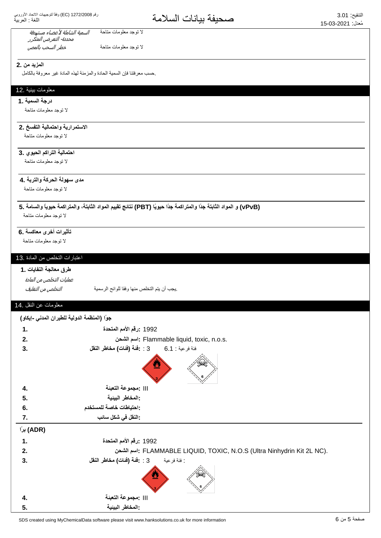#### خطر السحب بالمص السمية الشاملة لأعضاء مستهدفة محددة- التعرض المتكرر لا توجد معلومات متاحة لا توجد معلومات متاحة

#### **المزيد من .2**

حسب معرفتنا فإن السمية الحادة والمزمنة لهذه المادة غير معروفة بالكامل

# معلومات بيئية .12

#### **درجة السمية .1**

لا توجد معلومات متاحة

## الاستمرارية واحتمالية التفسخ .2

لا توجد معلومات متاحة

# احتمالية التراكم الحيوي .3

لا توجد معلومات متاحة

#### مدى سهولة الحركة والتربة .4

لا توجد معلومات متاحة

### **5. ΔϣΎγϟϭ˱ΎϳϭϳΣΔϣϛέΗϣϟϭˬΔΗΑΎΛϟΩϭϣϟϡϳϳϘΗΞΎΗϧ (PBT) Ύ˱ϳϭϳΣ˱ΩΟΔϣϛέΗϣϟϭ˱ΩΟΔΗΑΎΛϟΩϭϣϟϭ (vPvB)**

لا توجد معلومات متاحة

#### تأثيرات أخرى معاكسة .6

لا توجد معلومات متاحة

#### اعتبارات التخلص من المادة .13

#### طرق معالجة النفايات .1

ͮ௬Ͼ̲௪̺͙ͳ̻ͧϾ̞௪̺͙ ΔϳϣγέϟϭϠϟΎϘϓϭΎϬϧϣιϠΧΗϟϡΗϳϥΏΟϳ. عمليات التخلص من المادة

#### معلومات عن النقل 14

|                | جوًا (المنظمة الدولية للطيران المدني -إيكاو)                              |
|----------------|---------------------------------------------------------------------------|
| $\mathbf{1}$ . | 1992 :رقم الأمم المتحدة                                                   |
| 2.             | : اسم الشحن : Flammable liquid, toxic, n.o.s.                             |
| 3.             | فئة فرعية : 6.1 6       3 : يففة (فنات) مخاطر النقل                       |
|                | ፵                                                                         |
| 4.             | :مجموعة التعبئة                                                           |
| 5.             | : المخاطر البينية                                                         |
| 6.             | :احتياطات خاصة للمستخدم                                                   |
| 7.             | -النقل في شكل سائب                                                        |
| (ADR) برًا     |                                                                           |
| 1.             | 1992 :رقم الأمم المتحدة                                                   |
| 2.             | : اسم الشحن : FLAMMABLE LIQUID, TOXIC, N.O.S (Ultra Ninhydrin Kit 2L NC). |
| 3.             | : فئة فرعية [3 : 2: 13 (فَئات) مخاطر النقل                                |
|                | ⋓                                                                         |
| 4.             | :مجموعة التعبئة                                                           |
| 5.             | :المخاطر البينية                                                          |